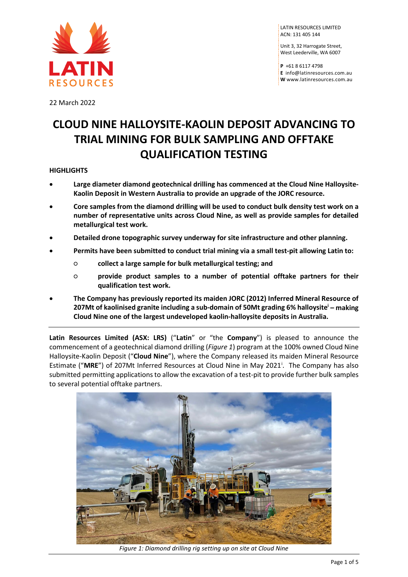

LATIN RESOURCES LIMITED ACN: 131 405 144

Unit 3, 32 Harrogate Street, West Leederville, WA 6007

**P** +61 8 6117 4798 **E** [info@latinresources.com.au](mailto:info@latinresources.com.au) **W** [www.latinresources.com.au](http://www.latinresources.com.au/)

22 March 2022

# **CLOUD NINE HALLOYSITE-KAOLIN DEPOSIT ADVANCING TO TRIAL MINING FOR BULK SAMPLING AND OFFTAKE QUALIFICATION TESTING**

# **HIGHLIGHTS**

- **Large diameter diamond geotechnical drilling has commenced at the Cloud Nine Halloysite-Kaolin Deposit in Western Australia to provide an upgrade of the JORC resource.**
- **Core samples from the diamond drilling will be used to conduct bulk density test work on a number of representative units across Cloud Nine, as well as provide samples for detailed metallurgical test work.**
- **Detailed drone topographic survey underway for site infrastructure and other planning.**
- **Permits have been submitted to conduct trial mining via a small test-pit allowing Latin to:**
	- **collect a large sample for bulk metallurgical testing; and**
	- **provide product samples to a number of potential offtake partners for their qualification test work.**
- **The Company has previously reported its maiden JORC (2012) Inferred Mineral Resource of 207Mt of kaolinised granite including a sub-domain of 50Mt grading 6% halloysitei – making Cloud Nine one of the largest undeveloped kaolin-halloysite deposits in Australia.**

**Latin Resources Limited (ASX: LRS)** ("**Latin**" or "the **Company**") is pleased to announce the commencement of a geotechnical diamond drilling (*Figure 1*) program at the 100% owned Cloud Nine Halloysite-Kaolin Deposit ("**Cloud Nine**"), where the Company released its maiden Mineral Resource Est[i](#page-4-0)mate ("MRE") of 207Mt Inferred Resources at Cloud Nine in May 2021<sup>1</sup>. The Company has also submitted permitting applications to allow the excavation of a test-pit to provide further bulk samples to several potential offtake partners.

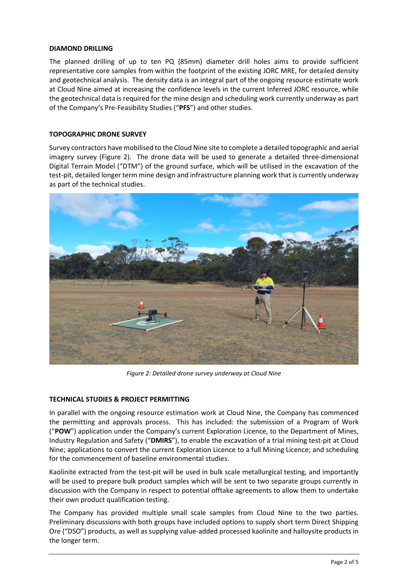## **DIAMOND DRILLING**

The planned drilling of up to ten PQ (85mm) diameter drill holes aims to provide sufficient representative core samples from within the footprint of the existing JORC MRE, for detailed density and geotechnical analysis. The density data is an integral part of the ongoing resource estimate work at Cloud Nine aimed at increasing the confidence levels in the current Inferred JORC resource, while the geotechnical data is required for the mine design and scheduling work currently underway as part of the Company's Pre-Feasibility Studies ("**PFS**") and other studies.

# **TOPOGRAPHIC DRONE SURVEY**

Survey contractors have mobilised to the Cloud Nine site to complete a detailed topographic and aerial imagery survey (Figure 2). The drone data will be used to generate a detailed three-dimensional Digital Terrain Model ("DTM") of the ground surface, which will be utilised in the excavation of the test-pit, detailed longer term mine design and infrastructure planning work that is currently underway as part of the technical studies.



*Figure 2: Detailed drone survey underway at Cloud Nine*

# **TECHNICAL STUDIES & PROJECT PERMITTING**

In parallel with the ongoing resource estimation work at Cloud Nine, the Company has commenced the permitting and approvals process. This has included: the submission of a Program of Work ("**POW**") application under the Company's current Exploration Licence, to the Department of Mines, Industry Regulation and Safety ("**DMIRS**"), to enable the excavation of a trial mining test-pit at Cloud Nine; applications to convert the current Exploration Licence to a full Mining Licence; and scheduling for the commencement of baseline environmental studies.

Kaolinite extracted from the test-pit will be used in bulk scale metallurgical testing, and importantly will be used to prepare bulk product samples which will be sent to two separate groups currently in discussion with the Company in respect to potential offtake agreements to allow them to undertake their own product qualification testing.

The Company has provided multiple small scale samples from Cloud Nine to the two parties. Preliminary discussions with both groups have included options to supply short term Direct Shipping Ore ("DSO") products, as well as supplying value-added processed kaolinite and halloysite products in for the comment<br>for the comment<br>Kaolinite extract<br>will be used to p<br>discussion with t<br>their own produ<br>The Company h<br>Preliminary discu<br>Ore ("DSO") prouthe longer term.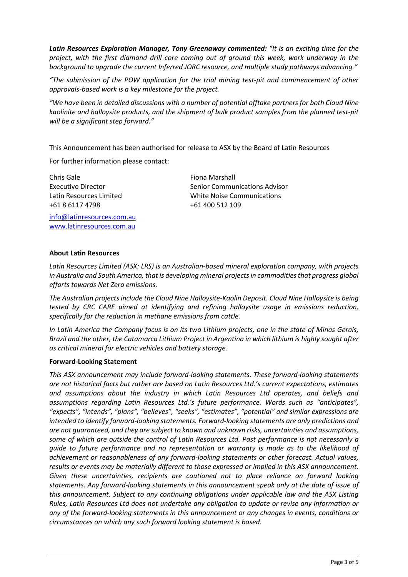*Latin Resources Exploration Manager, Tony Greenaway commented: "It is an exciting time for the project, with the first diamond drill core coming out of ground this week, work underway in the background to upgrade the current Inferred JORC resource, and multiple study pathways advancing."*

*"The submission of the POW application for the trial mining test-pit and commencement of other approvals-based work is a key milestone for the project.* 

*"We have been in detailed discussions with a number of potential offtake partners for both Cloud Nine kaolinite and halloysite products, and the shipment of bulk product samples from the planned test-pit will be a significant step forward."*

This Announcement has been authorised for release to ASX by the Board of Latin Resources

For further information please contact:

Chris Gale Executive Director Latin Resources Limited +61 8 6117 4798

[info@latinresources.com.au](mailto:info@latinresources.com.au) [www.latinresources.com.au](http://www.latinresources.com.au/)

Fiona Marshall Senior Communications Advisor White Noise Communications +61 400 512 109

#### **About Latin Resources**

*Latin Resources Limited (ASX: LRS) is an Australian-based mineral exploration company, with projects in Australia and South America, that is developing mineral projects in commodities that progress global efforts towards Net Zero emissions.* 

*The Australian projects include the Cloud Nine Halloysite-Kaolin Deposit. Cloud Nine Halloysite is being tested by CRC CARE aimed at identifying and refining halloysite usage in emissions reduction, specifically for the reduction in methane emissions from cattle.*

*In Latin America the Company focus is on its two Lithium projects, one in the state of Minas Gerais, Brazil and the other, the Catamarca Lithium Project in Argentina in which lithium is highly sought after as critical mineral for electric vehicles and battery storage.*

#### **Forward-Looking Statement**

*This ASX announcement may include forward-looking statements. These forward-looking statements are not historical facts but rather are based on Latin Resources Ltd.'s current expectations, estimates and assumptions about the industry in which Latin Resources Ltd operates, and beliefs and assumptions regarding Latin Resources Ltd.'s future performance. Words such as "anticipates", "expects", "intends", "plans", "believes", "seeks", "estimates", "potential" and similar expressions are intended to identify forward-looking statements. Forward-looking statements are only predictions and are not guaranteed, and they are subject to known and unknown risks, uncertainties and assumptions, some of which are outside the control of Latin Resources Ltd. Past performance is not necessarily a guide to future performance and no representation or warranty is made as to the likelihood of achievement or reasonableness of any forward-looking statements or other forecast. Actual values, results or events may be materially different to those expressed or implied in this ASX announcement.*  Given these uncertainties, recipients are cautioned not to place reliance on forward looking *statements. Any forward-looking statements in this announcement speak only at the date of issue of this announcement. Subject to any continuing obligations under applicable law and the ASX Listing Rules, Latin Resources Ltd does not undertake any obligation to update or revise any information or any of the forward-looking statements in this announcement or any changes in events, conditions or*  achievement or reasonableness of any forward-looking statements and results or events may be materially different to those expressed or imergiven these uncertainties, recipients are cautioned not to place statements. Any f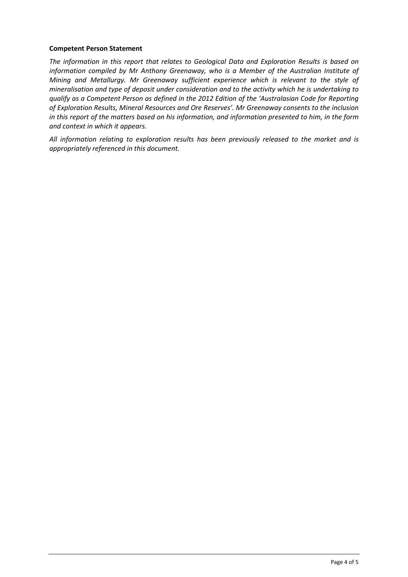## **Competent Person Statement**

*The information in this report that relates to Geological Data and Exploration Results is based on information compiled by Mr Anthony Greenaway, who is a Member of the Australian Institute of Mining and Metallurgy. Mr Greenaway sufficient experience which is relevant to the style of mineralisation and type of deposit under consideration and to the activity which he is undertaking to qualify as a Competent Person as defined in the 2012 Edition of the 'Australasian Code for Reporting of Exploration Results, Mineral Resources and Ore Reserves'. Mr Greenaway consents to the inclusion in this report of the matters based on his information, and information presented to him, in the form and context in which it appears.*

*All information relating to exploration results has been previously released to the market and is appropriately referenced in this document.*